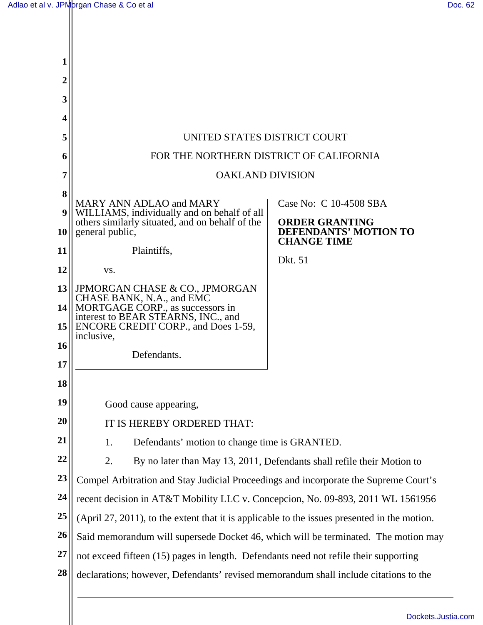| 2  |                                                                                                |                                                    |
|----|------------------------------------------------------------------------------------------------|----------------------------------------------------|
| 3  |                                                                                                |                                                    |
| 4  |                                                                                                |                                                    |
| 5  | UNITED STATES DISTRICT COURT                                                                   |                                                    |
| 6  | FOR THE NORTHERN DISTRICT OF CALIFORNIA                                                        |                                                    |
| 7  | <b>OAKLAND DIVISION</b>                                                                        |                                                    |
| 8  | MARY ANN ADLAO and MARY                                                                        | Case No: C 10-4508 SBA                             |
| 9  | WILLIAMS, individually and on behalf of all<br>others similarly situated, and on behalf of the | <b>ORDER GRANTING</b>                              |
| 10 | general public,                                                                                | <b>DEFENDANTS' MOTION TO</b><br><b>CHANGE TIME</b> |
| 11 | Plaintiffs,                                                                                    | Dkt. 51                                            |
| 12 | VS.                                                                                            |                                                    |
| 13 | JPMORGAN CHASE & CO., JPMORGAN<br>CHASE BANK, N.A., and EMC                                    |                                                    |
| 14 | MORTGAGE CORP., as successors in<br>interest to BEAR STEARNS, INC., and                        |                                                    |
| 15 | ENCORE CREDIT CORP., and Does 1-59,<br>inclusive,                                              |                                                    |
| 16 | Defendants.                                                                                    |                                                    |
| 17 |                                                                                                |                                                    |
| 18 |                                                                                                |                                                    |
| 19 | Good cause appearing,                                                                          |                                                    |
| 20 | IT IS HEREBY ORDERED THAT:                                                                     |                                                    |
| 21 | Defendants' motion to change time is GRANTED.<br>1.                                            |                                                    |
| 22 | By no later than May 13, 2011, Defendants shall refile their Motion to<br>2.                   |                                                    |
| 23 | Compel Arbitration and Stay Judicial Proceedings and incorporate the Supreme Court's           |                                                    |
| 24 | recent decision in AT&T Mobility LLC v. Concepcion, No. 09-893, 2011 WL 1561956                |                                                    |
| 25 | (April 27, 2011), to the extent that it is applicable to the issues presented in the motion.   |                                                    |
| 26 | Said memorandum will supersede Docket 46, which will be terminated. The motion may             |                                                    |
| 27 | not exceed fifteen (15) pages in length. Defendants need not refile their supporting           |                                                    |
| 28 | declarations; however, Defendants' revised memorandum shall include citations to the           |                                                    |
|    |                                                                                                |                                                    |